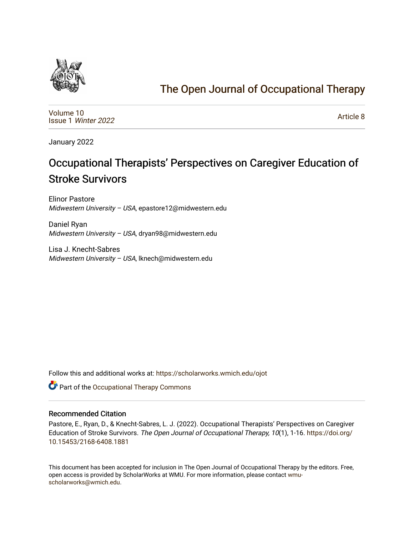

# [The Open Journal of Occupational Therapy](https://scholarworks.wmich.edu/ojot)

[Volume 10](https://scholarworks.wmich.edu/ojot/vol10) Issue 1 [Winter 2022](https://scholarworks.wmich.edu/ojot/vol10/iss1) 

[Article 8](https://scholarworks.wmich.edu/ojot/vol10/iss1/8) 

January 2022

# Occupational Therapists' Perspectives on Caregiver Education of Stroke Survivors

Elinor Pastore Midwestern University – USA, epastore12@midwestern.edu

Daniel Ryan Midwestern University – USA, dryan98@midwestern.edu

Lisa J. Knecht-Sabres Midwestern University – USA, lknech@midwestern.edu

Follow this and additional works at: [https://scholarworks.wmich.edu/ojot](https://scholarworks.wmich.edu/ojot?utm_source=scholarworks.wmich.edu%2Fojot%2Fvol10%2Fiss1%2F8&utm_medium=PDF&utm_campaign=PDFCoverPages)

Part of the [Occupational Therapy Commons](http://network.bepress.com/hgg/discipline/752?utm_source=scholarworks.wmich.edu%2Fojot%2Fvol10%2Fiss1%2F8&utm_medium=PDF&utm_campaign=PDFCoverPages) 

#### Recommended Citation

Pastore, E., Ryan, D., & Knecht-Sabres, L. J. (2022). Occupational Therapists' Perspectives on Caregiver Education of Stroke Survivors. The Open Journal of Occupational Therapy, 10(1), 1-16. [https://doi.org/](https://doi.org/10.15453/2168-6408.1881) [10.15453/2168-6408.1881](https://doi.org/10.15453/2168-6408.1881) 

This document has been accepted for inclusion in The Open Journal of Occupational Therapy by the editors. Free, open access is provided by ScholarWorks at WMU. For more information, please contact [wmu](mailto:wmu-scholarworks@wmich.edu)[scholarworks@wmich.edu.](mailto:wmu-scholarworks@wmich.edu)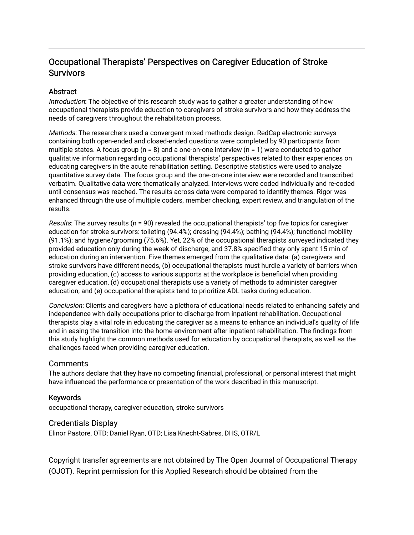# Occupational Therapists' Perspectives on Caregiver Education of Stroke **Survivors**

# **Abstract**

Introduction: The objective of this research study was to gather a greater understanding of how occupational therapists provide education to caregivers of stroke survivors and how they address the needs of caregivers throughout the rehabilitation process.

Methods: The researchers used a convergent mixed methods design. RedCap electronic surveys containing both open-ended and closed-ended questions were completed by 90 participants from multiple states. A focus group ( $n = 8$ ) and a one-on-one interview ( $n = 1$ ) were conducted to gather qualitative information regarding occupational therapists' perspectives related to their experiences on educating caregivers in the acute rehabilitation setting. Descriptive statistics were used to analyze quantitative survey data. The focus group and the one-on-one interview were recorded and transcribed verbatim. Qualitative data were thematically analyzed. Interviews were coded individually and re-coded until consensus was reached. The results across data were compared to identify themes. Rigor was enhanced through the use of multiple coders, member checking, expert review, and triangulation of the results.

Results: The survey results ( $n = 90$ ) revealed the occupational therapists' top five topics for caregiver education for stroke survivors: toileting (94.4%); dressing (94.4%); bathing (94.4%); functional mobility (91.1%); and hygiene/grooming (75.6%). Yet, 22% of the occupational therapists surveyed indicated they provided education only during the week of discharge, and 37.8% specified they only spent 15 min of education during an intervention. Five themes emerged from the qualitative data: (a) caregivers and stroke survivors have different needs, (b) occupational therapists must hurdle a variety of barriers when providing education, (c) access to various supports at the workplace is beneficial when providing caregiver education, (d) occupational therapists use a variety of methods to administer caregiver education, and (e) occupational therapists tend to prioritize ADL tasks during education.

Conclusion: Clients and caregivers have a plethora of educational needs related to enhancing safety and independence with daily occupations prior to discharge from inpatient rehabilitation. Occupational therapists play a vital role in educating the caregiver as a means to enhance an individual's quality of life and in easing the transition into the home environment after inpatient rehabilitation. The findings from this study highlight the common methods used for education by occupational therapists, as well as the challenges faced when providing caregiver education.

# **Comments**

The authors declare that they have no competing financial, professional, or personal interest that might have influenced the performance or presentation of the work described in this manuscript.

# Keywords

occupational therapy, caregiver education, stroke survivors

# Credentials Display

Elinor Pastore, OTD; Daniel Ryan, OTD; Lisa Knecht-Sabres, DHS, OTR/L

Copyright transfer agreements are not obtained by The Open Journal of Occupational Therapy (OJOT). Reprint permission for this Applied Research should be obtained from the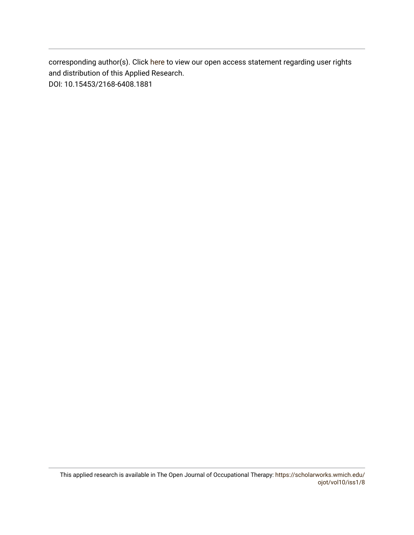corresponding author(s). Click [here](https://scholarworks.wmich.edu/ojot/policies.html#rights) to view our open access statement regarding user rights and distribution of this Applied Research. DOI: 10.15453/2168-6408.1881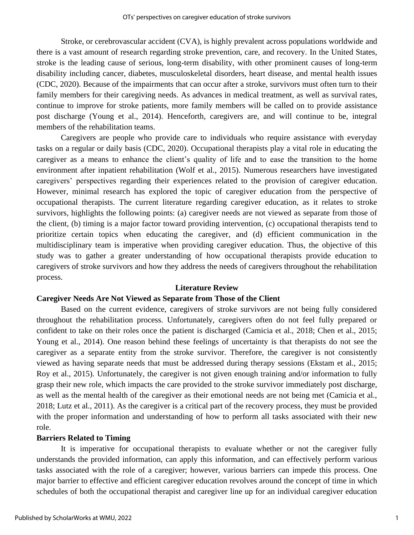Stroke, or cerebrovascular accident (CVA), is highly prevalent across populations worldwide and there is a vast amount of research regarding stroke prevention, care, and recovery. In the United States, stroke is the leading cause of serious, long-term disability, with other prominent causes of long-term disability including cancer, diabetes, musculoskeletal disorders, heart disease, and mental health issues (CDC, 2020). Because of the impairments that can occur after a stroke, survivors must often turn to their family members for their caregiving needs. As advances in medical treatment, as well as survival rates, continue to improve for stroke patients, more family members will be called on to provide assistance post discharge (Young et al., 2014). Henceforth, caregivers are, and will continue to be, integral members of the rehabilitation teams.

Caregivers are people who provide care to individuals who require assistance with everyday tasks on a regular or daily basis (CDC, 2020). Occupational therapists play a vital role in educating the caregiver as a means to enhance the client's quality of life and to ease the transition to the home environment after inpatient rehabilitation (Wolf et al., 2015). Numerous researchers have investigated caregivers' perspectives regarding their experiences related to the provision of caregiver education. However, minimal research has explored the topic of caregiver education from the perspective of occupational therapists. The current literature regarding caregiver education, as it relates to stroke survivors, highlights the following points: (a) caregiver needs are not viewed as separate from those of the client, (b) timing is a major factor toward providing intervention, (c) occupational therapists tend to prioritize certain topics when educating the caregiver, and (d) efficient communication in the multidisciplinary team is imperative when providing caregiver education. Thus, the objective of this study was to gather a greater understanding of how occupational therapists provide education to caregivers of stroke survivors and how they address the needs of caregivers throughout the rehabilitation process.

#### **Literature Review**

#### **Caregiver Needs Are Not Viewed as Separate from Those of the Client**

Based on the current evidence, caregivers of stroke survivors are not being fully considered throughout the rehabilitation process. Unfortunately, caregivers often do not feel fully prepared or confident to take on their roles once the patient is discharged (Camicia et al., 2018; Chen et al., 2015; Young et al., 2014). One reason behind these feelings of uncertainty is that therapists do not see the caregiver as a separate entity from the stroke survivor. Therefore, the caregiver is not consistently viewed as having separate needs that must be addressed during therapy sessions (Ekstam et al., 2015; Roy et al., 2015). Unfortunately, the caregiver is not given enough training and/or information to fully grasp their new role, which impacts the care provided to the stroke survivor immediately post discharge, as well as the mental health of the caregiver as their emotional needs are not being met (Camicia et al., 2018; Lutz et al., 2011). As the caregiver is a critical part of the recovery process, they must be provided with the proper information and understanding of how to perform all tasks associated with their new role.

#### **Barriers Related to Timing**

It is imperative for occupational therapists to evaluate whether or not the caregiver fully understands the provided information, can apply this information, and can effectively perform various tasks associated with the role of a caregiver; however, various barriers can impede this process. One major barrier to effective and efficient caregiver education revolves around the concept of time in which schedules of both the occupational therapist and caregiver line up for an individual caregiver education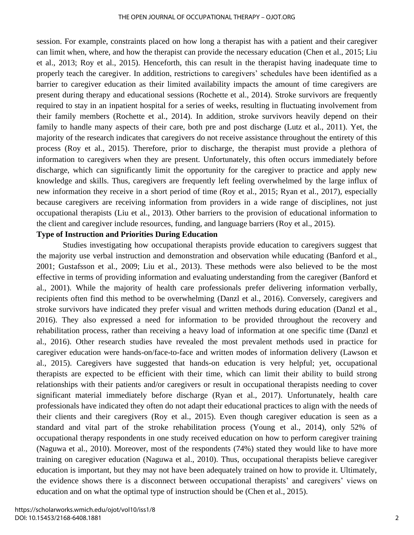session. For example, constraints placed on how long a therapist has with a patient and their caregiver can limit when, where, and how the therapist can provide the necessary education (Chen et al., 2015; Liu et al., 2013; Roy et al., 2015). Henceforth, this can result in the therapist having inadequate time to properly teach the caregiver. In addition, restrictions to caregivers' schedules have been identified as a barrier to caregiver education as their limited availability impacts the amount of time caregivers are present during therapy and educational sessions (Rochette et al., 2014). Stroke survivors are frequently required to stay in an inpatient hospital for a series of weeks, resulting in fluctuating involvement from their family members (Rochette et al., 2014). In addition, stroke survivors heavily depend on their family to handle many aspects of their care, both pre and post discharge (Lutz et al., 2011). Yet, the majority of the research indicates that caregivers do not receive assistance throughout the entirety of this process (Roy et al., 2015). Therefore, prior to discharge, the therapist must provide a plethora of information to caregivers when they are present. Unfortunately, this often occurs immediately before discharge, which can significantly limit the opportunity for the caregiver to practice and apply new knowledge and skills. Thus, caregivers are frequently left feeling overwhelmed by the large influx of new information they receive in a short period of time (Roy et al., 2015; Ryan et al., 2017), especially because caregivers are receiving information from providers in a wide range of disciplines, not just occupational therapists (Liu et al., 2013). Other barriers to the provision of educational information to the client and caregiver include resources, funding, and language barriers (Roy et al., 2015).

## **Type of Instruction and Priorities During Education**

 Studies investigating how occupational therapists provide education to caregivers suggest that the majority use verbal instruction and demonstration and observation while educating (Banford et al., 2001; Gustafsson et al., 2009; Liu et al., 2013). These methods were also believed to be the most effective in terms of providing information and evaluating understanding from the caregiver (Banford et al., 2001). While the majority of health care professionals prefer delivering information verbally, recipients often find this method to be overwhelming (Danzl et al., 2016). Conversely, caregivers and stroke survivors have indicated they prefer visual and written methods during education (Danzl et al., 2016). They also expressed a need for information to be provided throughout the recovery and rehabilitation process, rather than receiving a heavy load of information at one specific time (Danzl et al., 2016). Other research studies have revealed the most prevalent methods used in practice for caregiver education were hands-on/face-to-face and written modes of information delivery (Lawson et al., 2015). Caregivers have suggested that hands-on education is very helpful; yet, occupational therapists are expected to be efficient with their time, which can limit their ability to build strong relationships with their patients and/or caregivers or result in occupational therapists needing to cover significant material immediately before discharge (Ryan et al., 2017). Unfortunately, health care professionals have indicated they often do not adapt their educational practices to align with the needs of their clients and their caregivers (Roy et al., 2015). Even though caregiver education is seen as a standard and vital part of the stroke rehabilitation process (Young et al., 2014), only 52% of occupational therapy respondents in one study received education on how to perform caregiver training (Naguwa et al., 2010). Moreover, most of the respondents (74%) stated they would like to have more training on caregiver education (Naguwa et al., 2010). Thus, occupational therapists believe caregiver education is important, but they may not have been adequately trained on how to provide it. Ultimately, the evidence shows there is a disconnect between occupational therapists' and caregivers' views on education and on what the optimal type of instruction should be (Chen et al., 2015).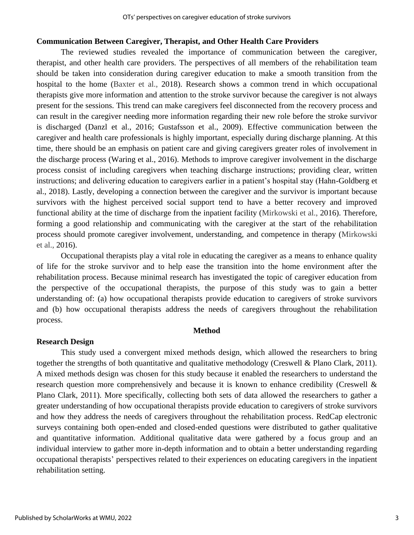#### **Communication Between Caregiver, Therapist, and Other Health Care Providers**

The reviewed studies revealed the importance of communication between the caregiver, therapist, and other health care providers. The perspectives of all members of the rehabilitation team should be taken into consideration during caregiver education to make a smooth transition from the hospital to the home (Baxter et al., 2018). Research shows a common trend in which occupational therapists give more information and attention to the stroke survivor because the caregiver is not always present for the sessions. This trend can make caregivers feel disconnected from the recovery process and can result in the caregiver needing more information regarding their new role before the stroke survivor is discharged (Danzl et al., 2016; Gustafsson et al., 2009). Effective communication between the caregiver and health care professionals is highly important, especially during discharge planning. At this time, there should be an emphasis on patient care and giving caregivers greater roles of involvement in the discharge process (Waring et al., 2016). Methods to improve caregiver involvement in the discharge process consist of including caregivers when teaching discharge instructions; providing clear, written instructions; and delivering education to caregivers earlier in a patient's hospital stay (Hahn-Goldberg et al., 2018). Lastly, developing a connection between the caregiver and the survivor is important because survivors with the highest perceived social support tend to have a better recovery and improved functional ability at the time of discharge from the inpatient facility (Mirkowski et al., 2016). Therefore, forming a good relationship and communicating with the caregiver at the start of the rehabilitation process should promote caregiver involvement, understanding, and competence in therapy (Mirkowski et al., 2016).

Occupational therapists play a vital role in educating the caregiver as a means to enhance quality of life for the stroke survivor and to help ease the transition into the home environment after the rehabilitation process. Because minimal research has investigated the topic of caregiver education from the perspective of the occupational therapists, the purpose of this study was to gain a better understanding of: (a) how occupational therapists provide education to caregivers of stroke survivors and (b) how occupational therapists address the needs of caregivers throughout the rehabilitation process.

#### **Method**

#### **Research Design**

This study used a convergent mixed methods design, which allowed the researchers to bring together the strengths of both quantitative and qualitative methodology (Creswell & Plano Clark, 2011). A mixed methods design was chosen for this study because it enabled the researchers to understand the research question more comprehensively and because it is known to enhance credibility (Creswell & Plano Clark, 2011). More specifically, collecting both sets of data allowed the researchers to gather a greater understanding of how occupational therapists provide education to caregivers of stroke survivors and how they address the needs of caregivers throughout the rehabilitation process. RedCap electronic surveys containing both open-ended and closed-ended questions were distributed to gather qualitative and quantitative information. Additional qualitative data were gathered by a focus group and an individual interview to gather more in-depth information and to obtain a better understanding regarding occupational therapists' perspectives related to their experiences on educating caregivers in the inpatient rehabilitation setting.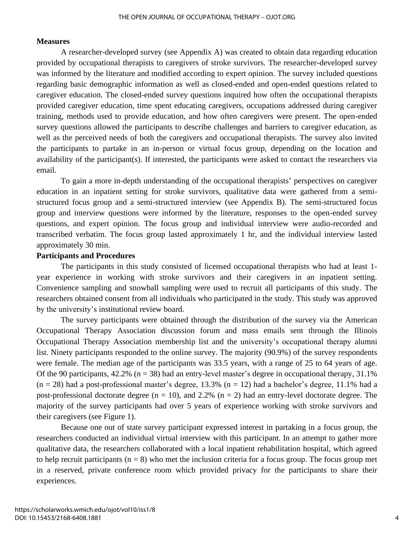#### **Measures**

A researcher-developed survey (see Appendix A) was created to obtain data regarding education provided by occupational therapists to caregivers of stroke survivors. The researcher-developed survey was informed by the literature and modified according to expert opinion. The survey included questions regarding basic demographic information as well as closed-ended and open-ended questions related to caregiver education. The closed-ended survey questions inquired how often the occupational therapists provided caregiver education, time spent educating caregivers, occupations addressed during caregiver training, methods used to provide education, and how often caregivers were present. The open-ended survey questions allowed the participants to describe challenges and barriers to caregiver education, as well as the perceived needs of both the caregivers and occupational therapists. The survey also invited the participants to partake in an in-person or virtual focus group, depending on the location and availability of the participant(s). If interested, the participants were asked to contact the researchers via email.

To gain a more in-depth understanding of the occupational therapists' perspectives on caregiver education in an inpatient setting for stroke survivors, qualitative data were gathered from a semistructured focus group and a semi-structured interview (see Appendix B). The semi-structured focus group and interview questions were informed by the literature, responses to the open-ended survey questions, and expert opinion. The focus group and individual interview were audio-recorded and transcribed verbatim. The focus group lasted approximately 1 hr, and the individual interview lasted approximately 30 min.

## **Participants and Procedures**

The participants in this study consisted of licensed occupational therapists who had at least 1 year experience in working with stroke survivors and their caregivers in an inpatient setting. Convenience sampling and snowball sampling were used to recruit all participants of this study. The researchers obtained consent from all individuals who participated in the study. This study was approved by the university's institutional review board.

The survey participants were obtained through the distribution of the survey via the American Occupational Therapy Association discussion forum and mass emails sent through the Illinois Occupational Therapy Association membership list and the university's occupational therapy alumni list. Ninety participants responded to the online survey. The majority (90.9%) of the survey respondents were female. The median age of the participants was 33.5 years, with a range of 25 to 64 years of age. Of the 90 participants,  $42.2\%$  (n = 38) had an entry-level master's degree in occupational therapy,  $31.1\%$  $(n = 28)$  had a post-professional master's degree, 13.3%  $(n = 12)$  had a bachelor's degree, 11.1% had a post-professional doctorate degree  $(n = 10)$ , and 2.2%  $(n = 2)$  had an entry-level doctorate degree. The majority of the survey participants had over 5 years of experience working with stroke survivors and their caregivers (see Figure 1).

Because one out of state survey participant expressed interest in partaking in a focus group, the researchers conducted an individual virtual interview with this participant. In an attempt to gather more qualitative data, the researchers collaborated with a local inpatient rehabilitation hospital, which agreed to help recruit participants ( $n = 8$ ) who met the inclusion criteria for a focus group. The focus group met in a reserved, private conference room which provided privacy for the participants to share their experiences.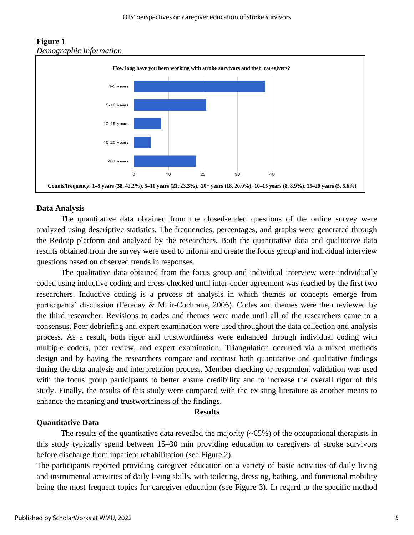

# **Figure 1**  *Demographic Information*

#### **Data Analysis**

The quantitative data obtained from the closed-ended questions of the online survey were analyzed using descriptive statistics. The frequencies, percentages, and graphs were generated through the Redcap platform and analyzed by the researchers. Both the quantitative data and qualitative data results obtained from the survey were used to inform and create the focus group and individual interview questions based on observed trends in responses.

The qualitative data obtained from the focus group and individual interview were individually coded using inductive coding and cross-checked until inter-coder agreement was reached by the first two researchers. Inductive coding is a process of analysis in which themes or concepts emerge from participants' discussion (Fereday & Muir-Cochrane, 2006). Codes and themes were then reviewed by the third researcher. Revisions to codes and themes were made until all of the researchers came to a consensus. Peer debriefing and expert examination were used throughout the data collection and analysis process. As a result, both rigor and trustworthiness were enhanced through individual coding with multiple coders, peer review, and expert examination. Triangulation occurred via a mixed methods design and by having the researchers compare and contrast both quantitative and qualitative findings during the data analysis and interpretation process. Member checking or respondent validation was used with the focus group participants to better ensure credibility and to increase the overall rigor of this study. Finally, the results of this study were compared with the existing literature as another means to enhance the meaning and trustworthiness of the findings.

## **Results**

#### **Quantitative Data**

The results of the quantitative data revealed the majority  $(-65%)$  of the occupational therapists in this study typically spend between 15–30 min providing education to caregivers of stroke survivors before discharge from inpatient rehabilitation (see Figure 2).

The participants reported providing caregiver education on a variety of basic activities of daily living and instrumental activities of daily living skills, with toileting, dressing, bathing, and functional mobility being the most frequent topics for caregiver education (see Figure 3). In regard to the specific method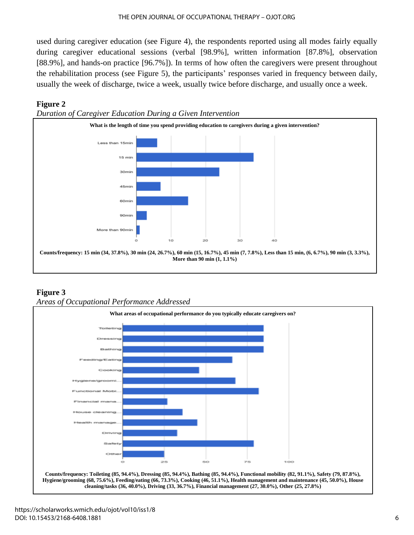used during caregiver education (see Figure 4), the respondents reported using all modes fairly equally during caregiver educational sessions (verbal [98.9%], written information [87.8%], observation [88.9%], and hands-on practice [96.7%]). In terms of how often the caregivers were present throughout the rehabilitation process (see Figure 5), the participants' responses varied in frequency between daily, usually the week of discharge, twice a week, usually twice before discharge, and usually once a week.

# **Figure 2**





# **Figure 3** *Areas of Occupational Performance Addressed*

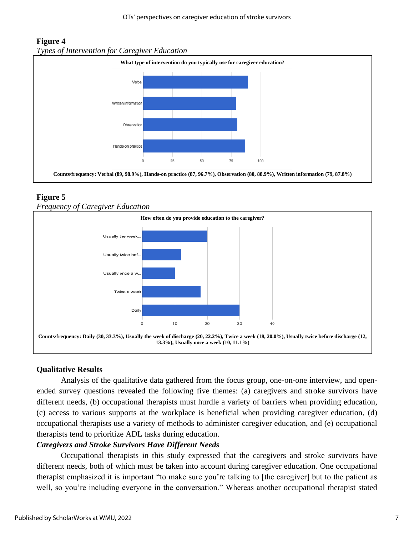# **Figure 4** *Types of Intervention for Caregiver Education*



# **Figure 5**

# *Frequency of Caregiver Education*



# **Qualitative Results**

Analysis of the qualitative data gathered from the focus group, one-on-one interview, and openended survey questions revealed the following five themes: (a) caregivers and stroke survivors have different needs, (b) occupational therapists must hurdle a variety of barriers when providing education, (c) access to various supports at the workplace is beneficial when providing caregiver education, (d) occupational therapists use a variety of methods to administer caregiver education, and (e) occupational therapists tend to prioritize ADL tasks during education.

# *Caregivers and Stroke Survivors Have Different Needs*

Occupational therapists in this study expressed that the caregivers and stroke survivors have different needs, both of which must be taken into account during caregiver education. One occupational therapist emphasized it is important "to make sure you're talking to [the caregiver] but to the patient as well, so you're including everyone in the conversation." Whereas another occupational therapist stated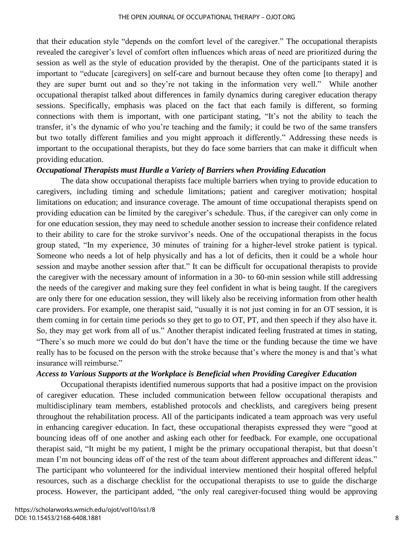that their education style "depends on the comfort level of the caregiver." The occupational therapists revealed the caregiver's level of comfort often influences which areas of need are prioritized during the session as well as the style of education provided by the therapist. One of the participants stated it is important to "educate [caregivers] on self-care and burnout because they often come [to therapy] and they are super burnt out and so they're not taking in the information very well." While another occupational therapist talked about differences in family dynamics during caregiver education therapy sessions. Specifically, emphasis was placed on the fact that each family is different, so forming connections with them is important, with one participant stating, "It's not the ability to teach the transfer, it's the dynamic of who you're teaching and the family; it could be two of the same transfers but two totally different families and you might approach it differently." Addressing these needs is important to the occupational therapists, but they do face some barriers that can make it difficult when providing education.

#### *Occupational Therapists must Hurdle a Variety of Barriers when Providing Education*

The data show occupational therapists face multiple barriers when trying to provide education to caregivers, including timing and schedule limitations; patient and caregiver motivation; hospital limitations on education; and insurance coverage. The amount of time occupational therapists spend on providing education can be limited by the caregiver's schedule. Thus, if the caregiver can only come in for one education session, they may need to schedule another session to increase their confidence related to their ability to care for the stroke survivor's needs. One of the occupational therapists in the focus group stated, "In my experience, 30 minutes of training for a higher-level stroke patient is typical. Someone who needs a lot of help physically and has a lot of deficits, then it could be a whole hour session and maybe another session after that." It can be difficult for occupational therapists to provide the caregiver with the necessary amount of information in a 30- to 60-min session while still addressing the needs of the caregiver and making sure they feel confident in what is being taught. If the caregivers are only there for one education session, they will likely also be receiving information from other health care providers. For example, one therapist said, "usually it is not just coming in for an OT session, it is them coming in for certain time periods so they get to go to OT, PT, and then speech if they also have it. So, they may get work from all of us." Another therapist indicated feeling frustrated at times in stating, "There's so much more we could do but don't have the time or the funding because the time we have really has to be focused on the person with the stroke because that's where the money is and that's what insurance will reimburse."

#### *Access to Various Supports at the Workplace is Beneficial when Providing Caregiver Education*

Occupational therapists identified numerous supports that had a positive impact on the provision of caregiver education. These included communication between fellow occupational therapists and multidisciplinary team members, established protocols and checklists, and caregivers being present throughout the rehabilitation process. All of the participants indicated a team approach was very useful in enhancing caregiver education. In fact, these occupational therapists expressed they were "good at bouncing ideas off of one another and asking each other for feedback. For example, one occupational therapist said, "It might be my patient, I might be the primary occupational therapist, but that doesn't mean I'm not bouncing ideas off of the rest of the team about different approaches and different ideas." The participant who volunteered for the individual interview mentioned their hospital offered helpful resources, such as a discharge checklist for the occupational therapists to use to guide the discharge process. However, the participant added, "the only real caregiver-focused thing would be approving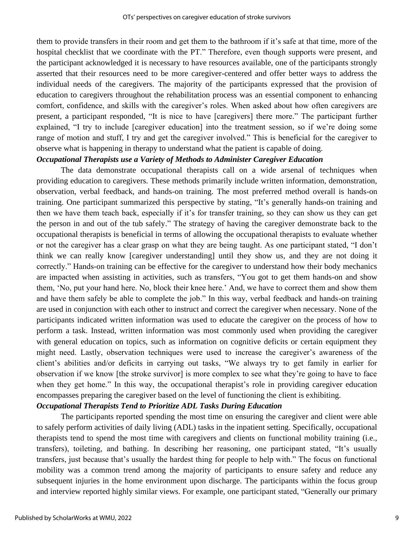them to provide transfers in their room and get them to the bathroom if it's safe at that time, more of the hospital checklist that we coordinate with the PT." Therefore, even though supports were present, and the participant acknowledged it is necessary to have resources available, one of the participants strongly asserted that their resources need to be more caregiver-centered and offer better ways to address the individual needs of the caregivers. The majority of the participants expressed that the provision of education to caregivers throughout the rehabilitation process was an essential component to enhancing comfort, confidence, and skills with the caregiver's roles. When asked about how often caregivers are present, a participant responded, "It is nice to have [caregivers] there more." The participant further explained, "I try to include [caregiver education] into the treatment session, so if we're doing some range of motion and stuff, I try and get the caregiver involved." This is beneficial for the caregiver to observe what is happening in therapy to understand what the patient is capable of doing.

# *Occupational Therapists use a Variety of Methods to Administer Caregiver Education*

The data demonstrate occupational therapists call on a wide arsenal of techniques when providing education to caregivers. These methods primarily include written information, demonstration, observation, verbal feedback, and hands-on training. The most preferred method overall is hands-on training. One participant summarized this perspective by stating, "It's generally hands-on training and then we have them teach back, especially if it's for transfer training, so they can show us they can get the person in and out of the tub safely." The strategy of having the caregiver demonstrate back to the occupational therapists is beneficial in terms of allowing the occupational therapists to evaluate whether or not the caregiver has a clear grasp on what they are being taught. As one participant stated, "I don't think we can really know [caregiver understanding] until they show us, and they are not doing it correctly." Hands-on training can be effective for the caregiver to understand how their body mechanics are impacted when assisting in activities, such as transfers, "You got to get them hands-on and show them, 'No, put your hand here. No, block their knee here.' And, we have to correct them and show them and have them safely be able to complete the job." In this way, verbal feedback and hands-on training are used in conjunction with each other to instruct and correct the caregiver when necessary. None of the participants indicated written information was used to educate the caregiver on the process of how to perform a task. Instead, written information was most commonly used when providing the caregiver with general education on topics, such as information on cognitive deficits or certain equipment they might need. Lastly, observation techniques were used to increase the caregiver's awareness of the client's abilities and/or deficits in carrying out tasks, "We always try to get family in earlier for observation if we know [the stroke survivor] is more complex to see what they're going to have to face when they get home." In this way, the occupational therapist's role in providing caregiver education encompasses preparing the caregiver based on the level of functioning the client is exhibiting.

# *Occupational Therapists Tend to Prioritize ADL Tasks During Education*

The participants reported spending the most time on ensuring the caregiver and client were able to safely perform activities of daily living (ADL) tasks in the inpatient setting. Specifically, occupational therapists tend to spend the most time with caregivers and clients on functional mobility training (i.e., transfers), toileting, and bathing. In describing her reasoning, one participant stated, "It's usually transfers, just because that's usually the hardest thing for people to help with." The focus on functional mobility was a common trend among the majority of participants to ensure safety and reduce any subsequent injuries in the home environment upon discharge. The participants within the focus group and interview reported highly similar views. For example, one participant stated, "Generally our primary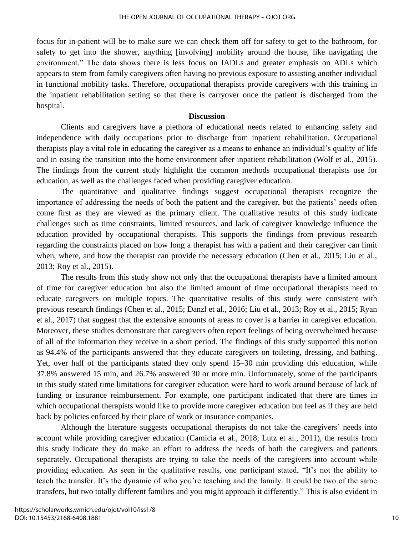focus for in-patient will be to make sure we can check them off for safety to get to the bathroom, for safety to get into the shower, anything [involving] mobility around the house, like navigating the environment." The data shows there is less focus on IADLs and greater emphasis on ADLs which appears to stem from family caregivers often having no previous exposure to assisting another individual in functional mobility tasks. Therefore, occupational therapists provide caregivers with this training in the inpatient rehabilitation setting so that there is carryover once the patient is discharged from the hospital.

## **Discussion**

Clients and caregivers have a plethora of educational needs related to enhancing safety and independence with daily occupations prior to discharge from inpatient rehabilitation. Occupational therapists play a vital role in educating the caregiver as a means to enhance an individual's quality of life and in easing the transition into the home environment after inpatient rehabilitation (Wolf et al., 2015). The findings from the current study highlight the common methods occupational therapists use for education, as well as the challenges faced when providing caregiver education.

The quantitative and qualitative findings suggest occupational therapists recognize the importance of addressing the needs of both the patient and the caregiver, but the patients' needs often come first as they are viewed as the primary client. The qualitative results of this study indicate challenges such as time constraints, limited resources, and lack of caregiver knowledge influence the education provided by occupational therapists. This supports the findings from previous research regarding the constraints placed on how long a therapist has with a patient and their caregiver can limit when, where, and how the therapist can provide the necessary education (Chen et al., 2015; Liu et al., 2013; Roy et al., 2015).

The results from this study show not only that the occupational therapists have a limited amount of time for caregiver education but also the limited amount of time occupational therapists need to educate caregivers on multiple topics. The quantitative results of this study were consistent with previous research findings (Chen et al., 2015; Danzl et al., 2016; Liu et al., 2013; Roy et al., 2015; Ryan et al., 2017) that suggest that the extensive amounts of areas to cover is a barrier in caregiver education. Moreover, these studies demonstrate that caregivers often report feelings of being overwhelmed because of all of the information they receive in a short period. The findings of this study supported this notion as 94.4% of the participants answered that they educate caregivers on toileting, dressing, and bathing. Yet, over half of the participants stated they only spend 15–30 min providing this education, while 37.8% answered 15 min, and 26.7% answered 30 or more min. Unfortunately, some of the participants in this study stated time limitations for caregiver education were hard to work around because of lack of funding or insurance reimbursement. For example, one participant indicated that there are times in which occupational therapists would like to provide more caregiver education but feel as if they are held back by policies enforced by their place of work or insurance companies.

Although the literature suggests occupational therapists do not take the caregivers' needs into account while providing caregiver education (Camicia et al., 2018; Lutz et al., 2011), the results from this study indicate they do make an effort to address the needs of both the caregivers and patients separately. Occupational therapists are trying to take the needs of the caregivers into account while providing education. As seen in the qualitative results, one participant stated, "It's not the ability to teach the transfer. It's the dynamic of who you're teaching and the family. It could be two of the same transfers, but two totally different families and you might approach it differently." This is also evident in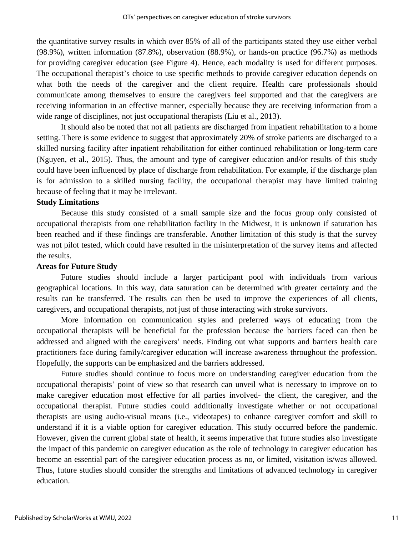the quantitative survey results in which over 85% of all of the participants stated they use either verbal (98.9%), written information (87.8%), observation (88.9%), or hands-on practice (96.7%) as methods for providing caregiver education (see Figure 4). Hence, each modality is used for different purposes. The occupational therapist's choice to use specific methods to provide caregiver education depends on what both the needs of the caregiver and the client require. Health care professionals should communicate among themselves to ensure the caregivers feel supported and that the caregivers are receiving information in an effective manner, especially because they are receiving information from a wide range of disciplines, not just occupational therapists (Liu et al., 2013).

It should also be noted that not all patients are discharged from inpatient rehabilitation to a home setting. There is some evidence to suggest that approximately 20% of stroke patients are discharged to a skilled nursing facility after inpatient rehabilitation for either continued rehabilitation or long-term care (Nguyen, et al., 2015). Thus, the amount and type of caregiver education and/or results of this study could have been influenced by place of discharge from rehabilitation. For example, if the discharge plan is for admission to a skilled nursing facility, the occupational therapist may have limited training because of feeling that it may be irrelevant.

# **Study Limitations**

Because this study consisted of a small sample size and the focus group only consisted of occupational therapists from one rehabilitation facility in the Midwest, it is unknown if saturation has been reached and if these findings are transferable. Another limitation of this study is that the survey was not pilot tested, which could have resulted in the misinterpretation of the survey items and affected the results.

#### **Areas for Future Study**

Future studies should include a larger participant pool with individuals from various geographical locations. In this way, data saturation can be determined with greater certainty and the results can be transferred. The results can then be used to improve the experiences of all clients, caregivers, and occupational therapists, not just of those interacting with stroke survivors.

More information on communication styles and preferred ways of educating from the occupational therapists will be beneficial for the profession because the barriers faced can then be addressed and aligned with the caregivers' needs. Finding out what supports and barriers health care practitioners face during family/caregiver education will increase awareness throughout the profession. Hopefully, the supports can be emphasized and the barriers addressed.

Future studies should continue to focus more on understanding caregiver education from the occupational therapists' point of view so that research can unveil what is necessary to improve on to make caregiver education most effective for all parties involved- the client, the caregiver, and the occupational therapist. Future studies could additionally investigate whether or not occupational therapists are using audio-visual means (i.e., videotapes) to enhance caregiver comfort and skill to understand if it is a viable option for caregiver education. This study occurred before the pandemic. However, given the current global state of health, it seems imperative that future studies also investigate the impact of this pandemic on caregiver education as the role of technology in caregiver education has become an essential part of the caregiver education process as no, or limited, visitation is/was allowed. Thus, future studies should consider the strengths and limitations of advanced technology in caregiver education.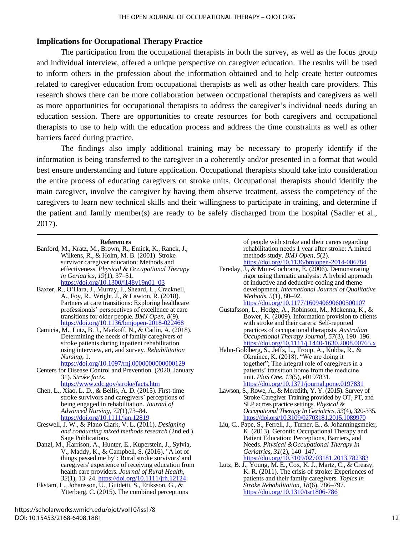# **Implications for Occupational Therapy Practice**

The participation from the occupational therapists in both the survey, as well as the focus group and individual interview, offered a unique perspective on caregiver education. The results will be used to inform others in the profession about the information obtained and to help create better outcomes related to caregiver education from occupational therapists as well as other health care providers. This research shows there can be more collaboration between occupational therapists and caregivers as well as more opportunities for occupational therapists to address the caregiver's individual needs during an education session. There are opportunities to create resources for both caregivers and occupational therapists to use to help with the education process and address the time constraints as well as other barriers faced during practice.

The findings also imply additional training may be necessary to properly identify if the information is being transferred to the caregiver in a coherently and/or presented in a format that would best ensure understanding and future application. Occupational therapists should take into consideration the entire process of educating caregivers on stroke units. Occupational therapists should identify the main caregiver, involve the caregiver by having them observe treatment, assess the competency of the caregivers to learn new technical skills and their willingness to participate in training, and determine if the patient and family member(s) are ready to be safely discharged from the hospital (Sadler et al., 2017).

#### **References**

- Banford, M., Kratz, M., Brown, R., Emick, K., Ranck, J., Wilkens, R., & Holm, M. B. (2001). Stroke survivor caregiver education: Methods and effectiveness. *Physical & Occupational Therapy in Geriatrics, 19*(1), 37–51. [https://doi.org/10.1300/j148v19n01\\_03](https://doi.org/10.1300/j148v19n01_03)
- Baxter, R., O'Hara, J., Murray, J., Sheard, L., Cracknell, A., Foy, R., Wright, J., & Lawton, R. (2018). Partners at care transitions: Exploring healthcare professionals' perspectives of excellence at care transitions for older people. *BMJ Open, 8*(9). <https://doi.org/10.1136/bmjopen-2018-022468>
- Camicia, M., Lutz, B. J., Markoff, N., & Catlin, A. (2018). Determining the needs of family caregivers of stroke patients during inpatient rehabilitation using interview, art, and survey. *Rehabilitation Nursing*, 1.

<https://doi.org/10.1097/rnj.0000000000000129>

Centers for Disease Control and Prevention. (2020, January 31). *Stroke facts*. <https://www.cdc.gov/stroke/facts.htm>

Chen, L., Xiao, L. D., & Bellis, A. D. (2015). First-time stroke survivors and caregivers' perceptions of being engaged in rehabilitation. *Journal of Advanced Nursing, 72*(1),73–84. <https://doi.org/10.1111/jan.12819>

Creswell, J. W., & Plano Clark, V. L. (2011). *Designing and conducting mixed methods research* (2nd ed.). Sage Publications.

Danzl, M., Harrison, A., Hunter, E., Kuperstein, J., Sylvia, V., Maddy, K., & Campbell, S. (2016). "A lot of things passed me by": Rural stroke survivors' and caregivers' experience of receiving education from health care providers. *Journal of Rural Health, 32*(1), 13–24[. https://doi.org/10.1111/jrh.12124](https://doi.org/10.1111/jrh.12124)

Ekstam, L., Johansson, U., Guidetti, S., Eriksson, G., & Ytterberg, C. (2015). The combined perceptions of people with stroke and their carers regarding rehabilitation needs 1 year after stroke: A mixed methods study. *BMJ Open*, *5*(2). <https://doi.org/10.1136/bmjopen-2014-006784>

Fereday, J., & Muir-Cochrane, E. (2006). Demonstrating rigor using thematic analysis: A hybrid approach of inductive and deductive coding and theme development. *International Journal of Qualitative Methods*, *5*(1), 80–92. <https://doi.org/10.1177/160940690600500107>

Gustafsson, L., Hodge, A., Robinson, M., Mckenna, K., & Bower, K. (2009). Information provision to clients with stroke and their carers: Self-reported practices of occupational therapists. *Australian Occupational Therapy Journal*, *57*(3), 190–196. <https://doi.org/10.1111/j.1440-1630.2008.00765.x>

- Hahn-Goldberg, S., Jeffs, L., Troup, A., Kubba, R., & Okrainec, K. (2018). "We are doing it together"; The integral role of caregivers in a patients' transition home from the medicine unit. *PloS One*, *13*(5), e0197831. <https://doi.org/10.1371/journal.pone.0197831>
- Lawson, S., Rowe, A., & Meredith, Y. Y. (2015). Survey of Stroke Caregiver Training provided by OT, PT, and SLP across practice settings. *Physical & Occupational Therapy In Geriatrics*, *33*(4), 320-335. <https://doi.org/10.3109/02703181.2015.1089970>
- Liu, C., Pape, S., Ferrell, J., Turner, E., & Johanningsmeier, K. (2013). Gerontic Occupational Therapy and Patient Education: Perceptions, Barriers, and Needs. *Physical &Occupational Therapy In Geriatrics*, *31*(2), 140–147. <https://doi.org/10.3109/02703181.2013.782383>
- Lutz, B. J., Young, M. E., Cox, K. J., Martz, C., & Creasy, K. R.  $(2011)$ . The crisis of stroke: Experiences of patients and their family caregivers. *Topics in Stroke Rehabilitation*, *18*(6), 786–797. <https://doi.org/10.1310/tsr1806-786>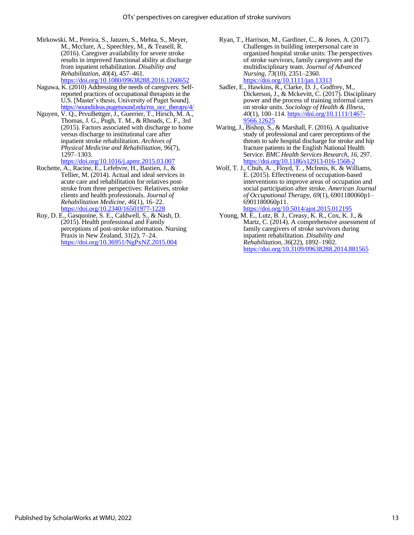Mirkowski, M., Pereira, S., Janzen, S., Mehta, S., Meyer, M., Mcclure, A., Speechley, M., & Teasell, R. (2016). Caregiver availability for severe stroke results in improved functional ability at discharge from inpatient rehabilitation. *Disability and Rehabilitation*, *40*(4), 457–461.

<https://doi.org/10.1080/09638288.2016.1260652>

- Naguwa, K. (2010) Addressing the needs of caregivers: Selfreported practices of occupational therapists in the U.S. [Master's thesis, University of Puget Sound]. [https://soundideas.pugetsound.edu/ms\\_occ\\_therapy/4/](https://soundideas.pugetsound.edu/ms_occ_therapy/4/)
- Nguyen, V. Q., PrvuBettger, J., Guerrier, T., Hirsch, M. A., Thomas, J. G., Pugh, T. M., & Rhoads, C. F., 3rd (2015). Factors associated with discharge to home versus discharge to institutional care after inpatient stroke rehabilitation. *Archives of Physical Medicine and Rehabilitation*, *96*(7), 1297–1303.

<https://doi.org/10.1016/j.apmr.2015.03.007>

- Rochette, A., Racine, E., Lefebvre, H., Bastien, J., & Tellier, M. (2014). Actual and ideal services in acute care and rehabilitation for relatives poststroke from three perspectives: Relatives, stroke clients and health professionals. *Journal of Rehabilitation Medicine*, *46*(1), 16–22. <https://doi.org/10.2340/16501977-1228>
- Roy, D. E., Gasquoine, S. E., Caldwell, S., & Nash, D. (2015). Health professional and Family perceptions of post-stroke information. Nursing Praxis in New Zealand, 31(2), 7–24. <https://doi.org/10.36951/NgPxNZ.2015.004>
- Ryan, T., Harrison, M., Gardiner, C., & Jones, A. (2017). Challenges in building interpersonal care in organized hospital stroke units: The perspectives of stroke survivors, family caregivers and the multidisciplinary team. *Journal of Advanced Nursing*, *73*(10), 2351–2360. <https://doi.org/10.1111/jan.13313>
- Sadler, E., Hawkins, R., Clarke, D. J., Godfrey, M., Dickerson, J., & Mckevitt, C. (2017). Disciplinary power and the process of training informal carers on stroke units. *Sociology of Health & Illness, 40*(1), 100–114. [https://doi.org/10.1111/1467-](https://doi.org/10.1111/1467-9566.12625) [9566.12625](https://doi.org/10.1111/1467-9566.12625)
- Waring, J., Bishop, S., & Marshall, F. (2016). A qualitative study of professional and carer perceptions of the threats to safe hospital discharge for stroke and hip fracture patients in the English National Health Service. *BMC Health Services Research*, *16*, 297. <https://doi.org/10.1186/s12913-016-1568-2>
- Wolf, T. J., Chuh, A. , Floyd, T. , McInnis, K. & Williams, E. (2015). Effectiveness of occupation-based interventions to improve areas of occupation and social participation after stroke. *American Journal of Occupational Therapy*, *69*(1), 6901180060p1– 6901180060p11. <https://doi.org/10.5014/ajot.2015.012195>
- Young, M. E., Lutz, B. J., Creasy, K. R., Cox, K. J., & Martz, C. (2014). A comprehensive assessment of family caregivers of stroke survivors during inpatient rehabilitation. *Disability and Rehabilitation*, *36*(22), 1892–1902. <https://doi.org/10.3109/09638288.2014.881565>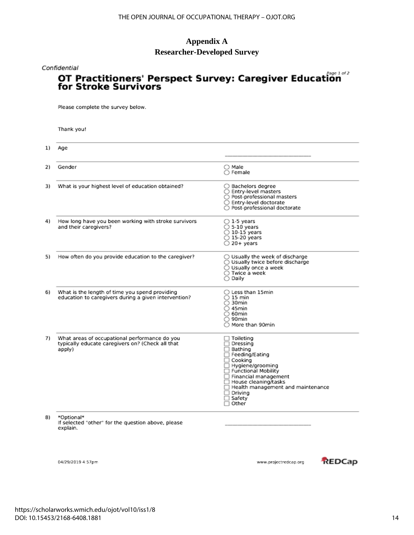# **Appendix A**

# **Researcher-Developed Survey**

#### Confidential

# **OT Practitioners' Perspect Survey: Caregiver Education**<br>for Stroke Survivors

Please complete the survey below.

Thank you!

| Age                                                                                                         |                                                                                                                                                                                                                                                                      |
|-------------------------------------------------------------------------------------------------------------|----------------------------------------------------------------------------------------------------------------------------------------------------------------------------------------------------------------------------------------------------------------------|
| Gender                                                                                                      | $\bigcirc$ Male<br>$\bigcirc$ Female                                                                                                                                                                                                                                 |
| What is your highest level of education obtained?                                                           | ○ Bachelors degree<br>○ Entry-level masters<br>○ Post-professional masters<br>○ Entry-level doctorate<br>○ Post-professional doctorate                                                                                                                               |
| How long have you been working with stroke survivors<br>and their caregivers?                               | $\bigcirc$ 1-5 years<br>$\bigcirc$ 5-10 years<br>$\bigcirc$ 10-15 years<br>○ 15-20 years<br>$\bigcirc$ 20+ years                                                                                                                                                     |
| How often do you provide education to the caregiver?                                                        | ◯ Usually the week of discharge<br>◯ Usually twice before discharge<br>○ Usually once a week<br>$\bigcirc$ Twice a week<br>∩ Dailv                                                                                                                                   |
| What is the length of time you spend providing<br>education to caregivers during a given intervention?      | $\bigcirc$ Less than 15min<br>$\bigcirc$ 15 min<br>$\bigcirc$ 30min<br>$\bigcirc$ 45min<br>$\bigcirc$ 60min<br>$\bigcirc$ 90 $\mathsf{min}$<br>○ More than 90min                                                                                                     |
| What areas of occupational performance do you<br>typically educate caregivers on? (Check all that<br>apply) | $\Box$ Toileting<br>$\Box$ Dressing<br>□ Bathing<br>Feeding/Eating<br>□ Cooking<br>Hygiene/grooming<br>Functional Mobility<br>□ Financial management<br>House cleaning/tasks<br>Health management and maintenance<br>$\Box$ Drivina<br>$\Box$ Safety<br>$\Box$ Other |
| *Optional*<br>If selected "other" for the question above, please<br>explain.                                |                                                                                                                                                                                                                                                                      |

04/29/2019 4:57pm

www.projectredcap.org

REDCap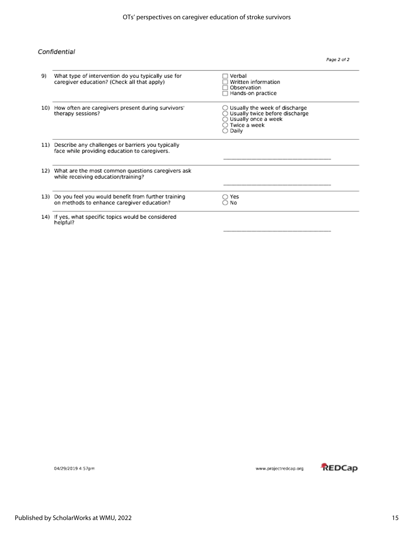#### Confidential

| 9). | What type of intervention do you typically use for<br>caregiver education? (Check all that apply)      | Verbal<br>Written information<br>Observation<br>Hands-on practice                                                                  |  |
|-----|--------------------------------------------------------------------------------------------------------|------------------------------------------------------------------------------------------------------------------------------------|--|
|     | 10) How often are caregivers present during survivors'<br>therapy sessions?                            | ○ Usually the week of discharge<br>Usually twice before discharge<br>○ Usually once a week<br>$\bigcirc$ Twice a week .<br>○ Daily |  |
|     | 11) Describe any challenges or barriers you typically<br>face while providing education to caregivers. |                                                                                                                                    |  |
|     | 12) What are the most common questions caregivers ask<br>while receiving education/training?           |                                                                                                                                    |  |
|     | 13) Do you feel you would benefit from further training<br>on methods to enhance caregiver education?  | ○ Yes<br>No                                                                                                                        |  |
|     | 14) If yes, what specific topics would be considered<br>helpful?                                       |                                                                                                                                    |  |

04/29/2019 4:57pm